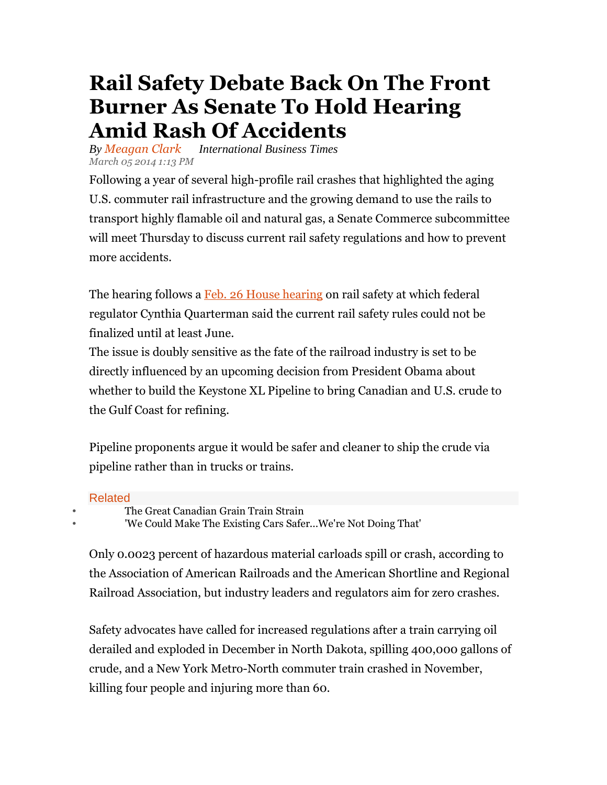## **Rail Safety Debate Back On The Front Burner As Senate To Hold Hearing Amid Rash Of Accidents**

*By Meagan Clark International Business Times March 05 2014 1:13 PM* 

Following a year of several high-profile rail crashes that highlighted the aging U.S. commuter rail infrastructure and the growing demand to use the rails to transport highly flamable oil and natural gas, a Senate Commerce subcommittee will meet Thursday to discuss current rail safety regulations and how to prevent more accidents.

The hearing follows a Feb. 26 House hearing on rail safety at which federal regulator Cynthia Quarterman said the current rail safety rules could not be finalized until at least June.

The issue is doubly sensitive as the fate of the railroad industry is set to be directly influenced by an upcoming decision from President Obama about whether to build the Keystone XL Pipeline to bring Canadian and U.S. crude to the Gulf Coast for refining.

Pipeline proponents argue it would be safer and cleaner to ship the crude via pipeline rather than in trucks or trains.

## Related

• The Great Canadian Grain Train Strain

'We Could Make The Existing Cars Safer...We're Not Doing That'

Only 0.0023 percent of hazardous material carloads spill or crash, according to the Association of American Railroads and the American Shortline and Regional Railroad Association, but industry leaders and regulators aim for zero crashes.

Safety advocates have called for increased regulations after a train carrying oil derailed and exploded in December in North Dakota, spilling 400,000 gallons of crude, and a New York Metro-North commuter train crashed in November, killing four people and injuring more than 60.